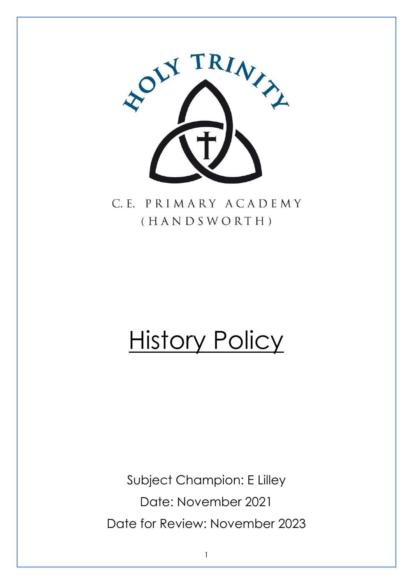

C.E. PRIMARY ACADEMY (HANDSWORTH)

# **History Policy**

Subject Champion: E Lilley Date: November 2021 Date for Review: November 2023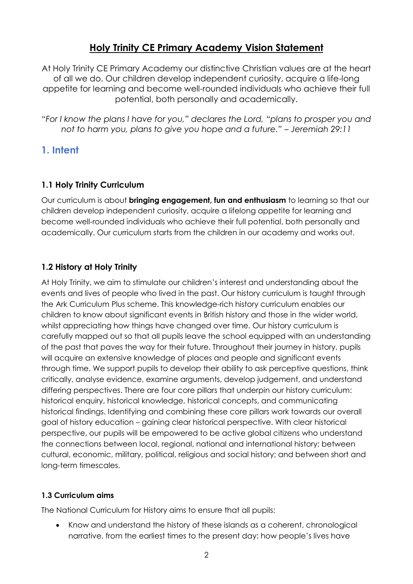# **Holy Trinity CE Primary Academy Vision Statement**

At Holy Trinity CE Primary Academy our distinctive Christian values are at the heart of all we do. Our children develop independent curiosity, acquire a life-long appetite for learning and become well-rounded individuals who achieve their full potential, both personally and academically.

*"For I know the plans I have for you," declares the Lord, "plans to prosper you and not to harm you, plans to give you hope and a future." – Jeremiah 29:11*

# **1. Intent**

# **1.1 Holy Trinity Curriculum**

Our curriculum is about **bringing engagement, fun and enthusiasm** to learning so that our children develop independent curiosity, acquire a lifelong appetite for learning and become well-rounded individuals who achieve their full potential, both personally and academically. Our curriculum starts from the children in our academy and works out.

# **1.2 History at Holy Trinity**

At Holy Trinity, we aim to stimulate our children's interest and understanding about the events and lives of people who lived in the past. Our history curriculum is taught through the Ark Curriculum Plus scheme. This knowledge-rich history curriculum enables our children to know about significant events in British history and those in the wider world, whilst appreciating how things have changed over time. Our history curriculum is carefully mapped out so that all pupils leave the school equipped with an understanding of the past that paves the way for their future. Throughout their journey in history, pupils will acquire an extensive knowledge of places and people and significant events through time. We support pupils to develop their ability to ask perceptive questions, think critically, analyse evidence, examine arguments, develop judgement, and understand differing perspectives. There are four core pillars that underpin our history curriculum: historical enquiry, historical knowledge, historical concepts, and communicating historical findings. Identifying and combining these core pillars work towards our overall goal of history education – gaining clear historical perspective. With clear historical perspective, our pupils will be empowered to be active global citizens who understand the connections between local, regional, national and international history; between cultural, economic, military, political, religious and social history; and between short and long-term timescales.

#### **1.3 Curriculum aims**

The National Curriculum for History aims to ensure that all pupils:

 Know and understand the history of these islands as a coherent, chronological narrative, from the earliest times to the present day: how people's lives have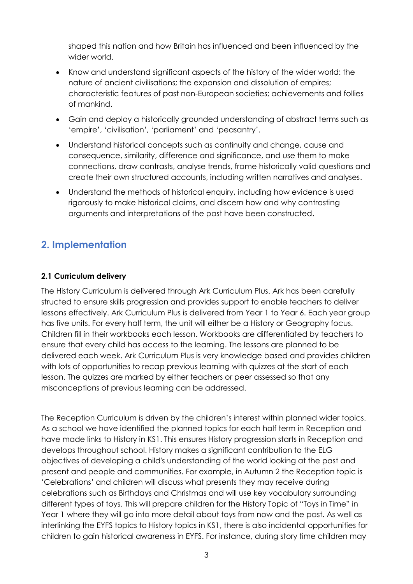shaped this nation and how Britain has influenced and been influenced by the wider world.

- Know and understand significant aspects of the history of the wider world: the nature of ancient civilisations; the expansion and dissolution of empires; characteristic features of past non-European societies; achievements and follies of mankind.
- Gain and deploy a historically grounded understanding of abstract terms such as 'empire', 'civilisation', 'parliament' and 'peasantry'.
- Understand historical concepts such as continuity and change, cause and consequence, similarity, difference and significance, and use them to make connections, draw contrasts, analyse trends, frame historically valid questions and create their own structured accounts, including written narratives and analyses.
- Understand the methods of historical enquiry, including how evidence is used rigorously to make historical claims, and discern how and why contrasting arguments and interpretations of the past have been constructed.

# **2. Implementation**

## **2.1 Curriculum delivery**

The History Curriculum is delivered through Ark Curriculum Plus. Ark has been carefully structed to ensure skills progression and provides support to enable teachers to deliver lessons effectively. Ark Curriculum Plus is delivered from Year 1 to Year 6. Each year group has five units. For every half term, the unit will either be a History or Geography focus. Children fill in their workbooks each lesson. Workbooks are differentiated by teachers to ensure that every child has access to the learning. The lessons are planned to be delivered each week. Ark Curriculum Plus is very knowledge based and provides children with lots of opportunities to recap previous learning with quizzes at the start of each lesson. The quizzes are marked by either teachers or peer assessed so that any misconceptions of previous learning can be addressed.

The Reception Curriculum is driven by the children's interest within planned wider topics. As a school we have identified the planned topics for each half term in Reception and have made links to History in KS1. This ensures History progression starts in Reception and develops throughout school. History makes a significant contribution to the ELG objectives of developing a child's understanding of the world looking at the past and present and people and communities. For example, in Autumn 2 the Reception topic is 'Celebrations' and children will discuss what presents they may receive during celebrations such as Birthdays and Christmas and will use key vocabulary surrounding different types of toys. This will prepare children for the History Topic of "Toys in Time" in Year 1 where they will go into more detail about toys from now and the past. As well as interlinking the EYFS topics to History topics in KS1, there is also incidental opportunities for children to gain historical awareness in EYFS. For instance, during story time children may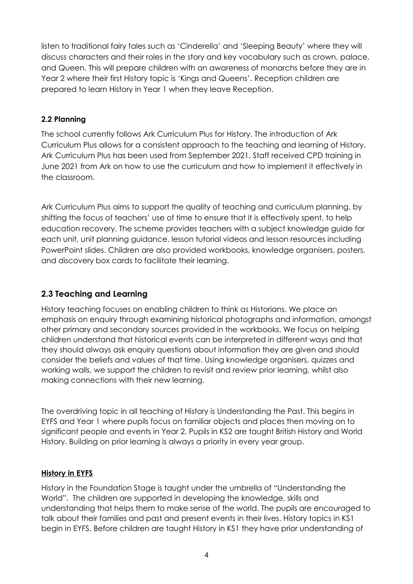listen to traditional fairy tales such as 'Cinderella' and 'Sleeping Beauty' where they will discuss characters and their roles in the story and key vocabulary such as crown, palace, and Queen. This will prepare children with an awareness of monarchs before they are in Year 2 where their first History topic is 'Kings and Queens'. Reception children are prepared to learn History in Year 1 when they leave Reception.

#### **2.2 Planning**

The school currently follows Ark Curriculum Plus for History. The introduction of Ark Curriculum Plus allows for a consistent approach to the teaching and learning of History. Ark Curriculum Plus has been used from September 2021. Staff received CPD training in June 2021 from Ark on how to use the curriculum and how to implement it effectively in the classroom.

Ark Curriculum Plus aims to support the quality of teaching and curriculum planning, by shifting the focus of teachers' use of time to ensure that it is effectively spent, to help education recovery. The scheme provides teachers with a subject knowledge guide for each unit, unit planning guidance, lesson tutorial videos and lesson resources including PowerPoint slides. Children are also provided workbooks, knowledge organisers, posters, and discovery box cards to facilitate their learning.

## **2.3 Teaching and Learning**

History teaching focuses on enabling children to think as Historians. We place an emphasis on enquiry through examining historical photographs and information, amongst other primary and secondary sources provided in the workbooks. We focus on helping children understand that historical events can be interpreted in different ways and that they should always ask enquiry questions about information they are given and should consider the beliefs and values of that time. Using knowledge organisers, quizzes and working walls, we support the children to revisit and review prior learning, whilst also making connections with their new learning.

The overdriving topic in all teaching of History is Understanding the Past. This begins in EYFS and Year 1 where pupils focus on familiar objects and places then moving on to significant people and events in Year 2. Pupils in KS2 are taught British History and World History. Building on prior learning is always a priority in every year group.

#### **History in EYFS**

History in the Foundation Stage is taught under the umbrella of "Understanding the World". The children are supported in developing the knowledge, skills and understanding that helps them to make sense of the world. The pupils are encouraged to talk about their families and past and present events in their lives. History topics in KS1 begin in EYFS. Before children are taught History in KS1 they have prior understanding of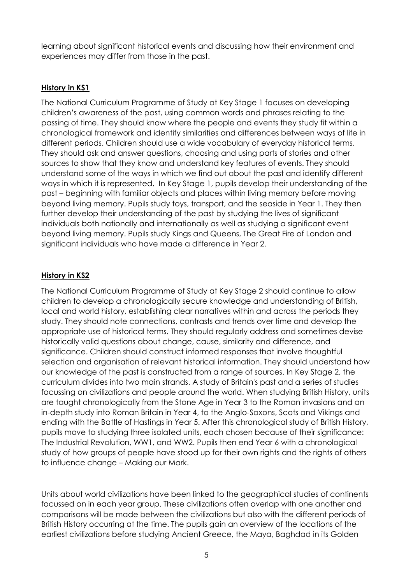learning about significant historical events and discussing how their environment and experiences may differ from those in the past.

### **History in KS1**

The National Curriculum Programme of Study at Key Stage 1 focuses on developing children's awareness of the past, using common words and phrases relating to the passing of time. They should know where the people and events they study fit within a chronological framework and identify similarities and differences between ways of life in different periods. Children should use a wide vocabulary of everyday historical terms. They should ask and answer questions, choosing and using parts of stories and other sources to show that they know and understand key features of events. They should understand some of the ways in which we find out about the past and identify different ways in which it is represented. In Key Stage 1, pupils develop their understanding of the past – beginning with familiar objects and places within living memory before moving beyond living memory. Pupils study toys, transport, and the seaside in Year 1. They then further develop their understanding of the past by studying the lives of significant individuals both nationally and internationally as well as studying a significant event beyond living memory. Pupils study Kings and Queens, The Great Fire of London and significant individuals who have made a difference in Year 2.

#### **History in KS2**

The National Curriculum Programme of Study at Key Stage 2 should continue to allow children to develop a chronologically secure knowledge and understanding of British, local and world history, establishing clear narratives within and across the periods they study. They should note connections, contrasts and trends over time and develop the appropriate use of historical terms. They should regularly address and sometimes devise historically valid questions about change, cause, similarity and difference, and significance. Children should construct informed responses that involve thoughtful selection and organisation of relevant historical information. They should understand how our knowledge of the past is constructed from a range of sources. In Key Stage 2, the curriculum divides into two main strands. A study of Britain's past and a series of studies focussing on civilizations and people around the world. When studying British History, units are taught chronologically from the Stone Age in Year 3 to the Roman invasions and an in-depth study into Roman Britain in Year 4, to the Anglo-Saxons, Scots and Vikings and ending with the Battle of Hastings in Year 5. After this chronological study of British History, pupils move to studying three isolated units, each chosen because of their significance: The Industrial Revolution, WW1, and WW2. Pupils then end Year 6 with a chronological study of how groups of people have stood up for their own rights and the rights of others to influence change – Making our Mark.

Units about world civilizations have been linked to the geographical studies of continents focussed on in each year group. These civilizations often overlap with one another and comparisons will be made between the civilizations but also with the different periods of British History occurring at the time. The pupils gain an overview of the locations of the earliest civilizations before studying Ancient Greece, the Maya, Baghdad in its Golden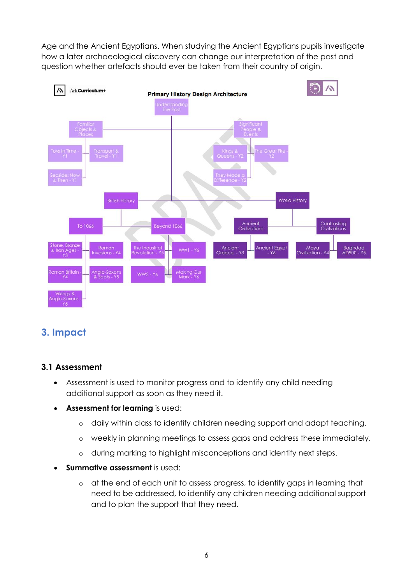Age and the Ancient Egyptians. When studying the Ancient Egyptians pupils investigate how a later archaeological discovery can change our interpretation of the past and question whether artefacts should ever be taken from their country of origin.



# **3. Impact**

#### **3.1 Assessment**

- Assessment is used to monitor progress and to identify any child needing additional support as soon as they need it.
- **Assessment for learning** is used:
	- o daily within class to identify children needing support and adapt teaching.
	- o weekly in planning meetings to assess gaps and address these immediately.
	- o during marking to highlight misconceptions and identify next steps.
- **Summative assessment** is used:
	- o at the end of each unit to assess progress, to identify gaps in learning that need to be addressed, to identify any children needing additional support and to plan the support that they need.